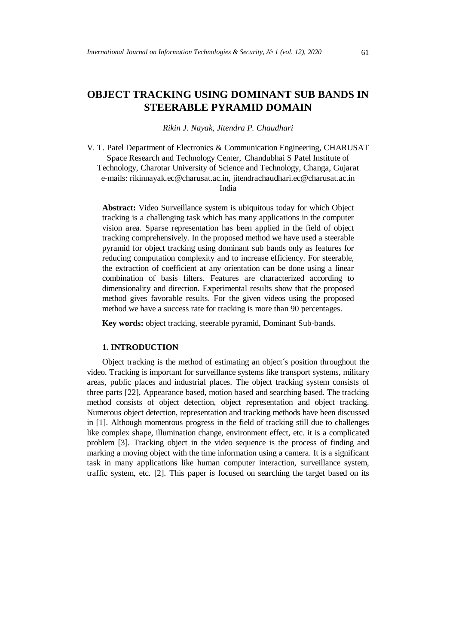# **OBJECT TRACKING USING DOMINANT SUB BANDS IN STEERABLE PYRAMID DOMAIN**

*Rikin J. Nayak, Jitendra P. Chaudhari*

V. T. Patel Department of Electronics & Communication Engineering*,* CHARUSAT Space Research and Technology Center, Chandubhai S Patel Institute of Technology, Charotar University of Science and Technology, Changa, Gujarat e-mails: rikinnayak.ec@charusat.ac.in, jitendrachaudhari.ec@charusat.ac.in India

**Abstract:** Video Surveillance system is ubiquitous today for which Object tracking is a challenging task which has many applications in the computer vision area. Sparse representation has been applied in the field of object tracking comprehensively. In the proposed method we have used a steerable pyramid for object tracking using dominant sub bands only as features for reducing computation complexity and to increase efficiency. For steerable, the extraction of coefficient at any orientation can be done using a linear combination of basis filters. Features are characterized according to dimensionality and direction. Experimental results show that the proposed method gives favorable results. For the given videos using the proposed method we have a success rate for tracking is more than 90 percentages.

**Key words:** object tracking, steerable pyramid, Dominant Sub-bands.

#### **1. INTRODUCTION**

Object tracking is the method of estimating an object´s position throughout the video. Tracking is important for surveillance systems like transport systems, military areas, public places and industrial places. The object tracking system consists of three parts [22], Appearance based, motion based and searching based. The tracking method consists of object detection, object representation and object tracking. Numerous object detection, representation and tracking methods have been discussed in [1]. Although momentous progress in the field of tracking still due to challenges like complex shape, illumination change, environment effect, etc. it is a complicated problem [3]. Tracking object in the video sequence is the process of finding and marking a moving object with the time information using a camera. It is a significant task in many applications like human computer interaction, surveillance system, traffic system, etc. [2]. This paper is focused on searching the target based on its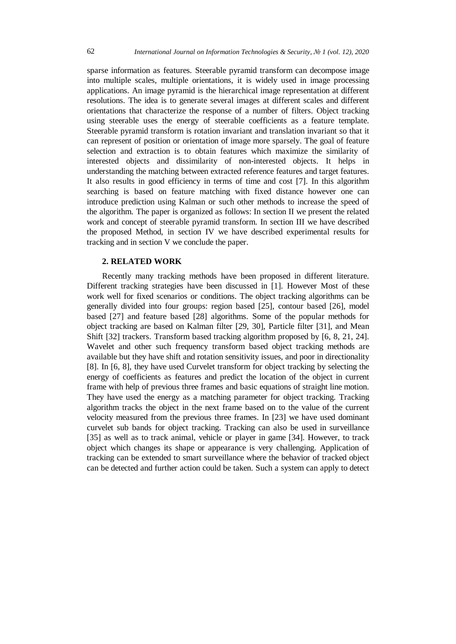sparse information as features. Steerable pyramid transform can decompose image into multiple scales, multiple orientations, it is widely used in image processing applications. An image pyramid is the hierarchical image representation at different resolutions. The idea is to generate several images at different scales and different orientations that characterize the response of a number of filters. Object tracking using steerable uses the energy of steerable coefficients as a feature template. Steerable pyramid transform is rotation invariant and translation invariant so that it can represent of position or orientation of image more sparsely. The goal of feature selection and extraction is to obtain features which maximize the similarity of interested objects and dissimilarity of non-interested objects. It helps in understanding the matching between extracted reference features and target features. It also results in good efficiency in terms of time and cost [7]. In this algorithm searching is based on feature matching with fixed distance however one can introduce prediction using Kalman or such other methods to increase the speed of the algorithm. The paper is organized as follows: In section II we present the related work and concept of steerable pyramid transform. In section III we have described the proposed Method, in section IV we have described experimental results for tracking and in section V we conclude the paper.

#### **2. RELATED WORK**

Recently many tracking methods have been proposed in different literature. Different tracking strategies have been discussed in [1]. However Most of these work well for fixed scenarios or conditions. The object tracking algorithms can be generally divided into four groups: region based [25], contour based [26], model based [27] and feature based [28] algorithms. Some of the popular methods for object tracking are based on Kalman filter [29, 30], Particle filter [31], and Mean Shift [32] trackers. Transform based tracking algorithm proposed by [6, 8, 21, 24]. Wavelet and other such frequency transform based object tracking methods are available but they have shift and rotation sensitivity issues, and poor in directionality [8]. In [6, 8], they have used Curvelet transform for object tracking by selecting the energy of coefficients as features and predict the location of the object in current frame with help of previous three frames and basic equations of straight line motion. They have used the energy as a matching parameter for object tracking. Tracking algorithm tracks the object in the next frame based on to the value of the current velocity measured from the previous three frames. In [23] we have used dominant curvelet sub bands for object tracking. Tracking can also be used in surveillance [35] as well as to track animal, vehicle or player in game [34]. However, to track object which changes its shape or appearance is very challenging. Application of tracking can be extended to smart surveillance where the behavior of tracked object can be detected and further action could be taken. Such a system can apply to detect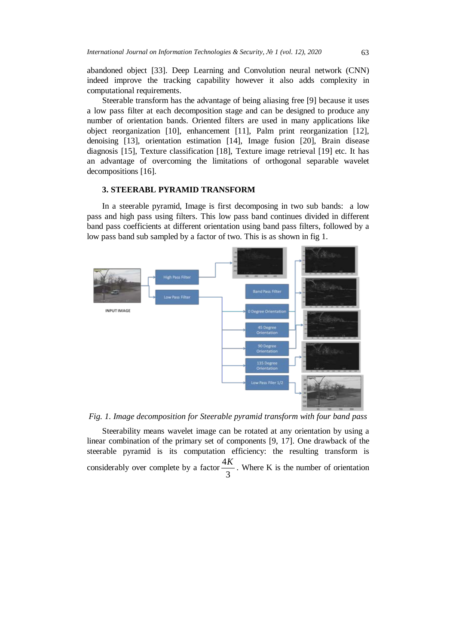abandoned object [33]. Deep Learning and Convolution neural network (CNN) indeed improve the tracking capability however it also adds complexity in computational requirements.

Steerable transform has the advantage of being aliasing free [9] because it uses a low pass filter at each decomposition stage and can be designed to produce any number of orientation bands. Oriented filters are used in many applications like object reorganization [10], enhancement [11], Palm print reorganization [12], denoising [13], orientation estimation [14], Image fusion [20], Brain disease diagnosis [15], Texture classification [18], Texture image retrieval [19] etc. It has an advantage of overcoming the limitations of orthogonal separable wavelet decompositions [16].

## **3. STEERABL PYRAMID TRANSFORM**

In a steerable pyramid, Image is first decomposing in two sub bands: a low pass and high pass using filters. This low pass band continues divided in different band pass coefficients at different orientation using band pass filters, followed by a low pass band sub sampled by a factor of two. This is as shown in fig 1.



*Fig. 1. Image decomposition for Steerable pyramid transform with four band pass*

Steerability means wavelet image can be rotated at any orientation by using a linear combination of the primary set of components [9, 17]. One drawback of the steerable pyramid is its computation efficiency: the resulting transform is considerably over complete by a factor  $\frac{12}{3}$  $\frac{4K}{2}$ . Where K is the number of orientation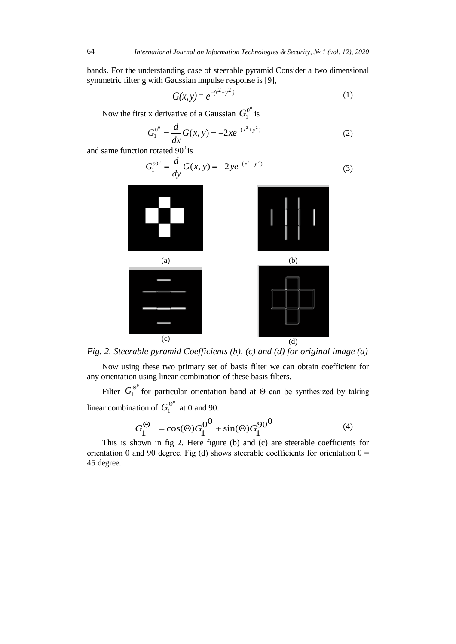bands. For the understanding case of steerable pyramid Consider a two dimensional symmetric filter g with Gaussian impulse response is [9],

$$
G(x, y) = e^{-(x^2 + y^2)}
$$
 (1)

Now the first x derivative of a Gaussian  $G_1^{0^0}$  is

$$
G_1^{0^0} = \frac{d}{dx}G(x, y) = -2xe^{-(x^2 + y^2)}
$$
 (2)

and same function rotated  $90^0$  is

$$
G_1^{90^0} = \frac{d}{dy} G(x, y) = -2ye^{-(x^2 + y^2)}
$$
 (3)



*Fig. 2. Steerable pyramid Coefficients (b), (c) and (d) for original image (a)*

Now using these two primary set of basis filter we can obtain coefficient for any orientation using linear combination of these basis filters.

Filter  $G_1^{\Theta^0}$  for particular orientation band at  $\Theta$  can be synthesized by taking linear combination of  $G_1^{\Theta^0}$  at 0 and 90:

$$
G_1^{\Theta} = \cos(\Theta) G_1^{0} + \sin(\Theta) G_1^{90} \tag{4}
$$

This is shown in fig 2. Here figure (b) and (c) are steerable coefficients for orientation 0 and 90 degree. Fig (d) shows steerable coefficients for orientation  $\theta$  = 45 degree.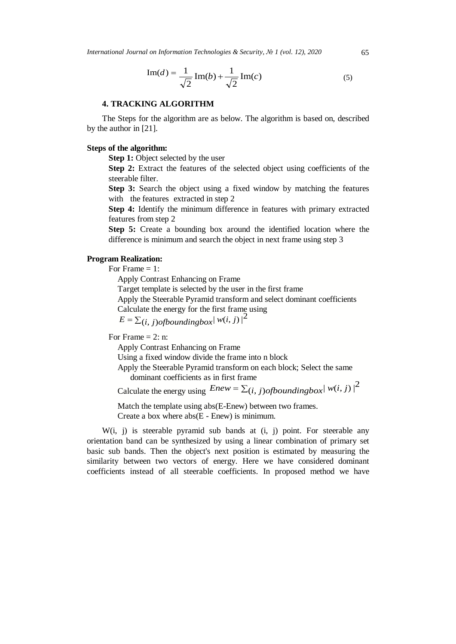*International Journal on Information Technologies & Security, № 1 (vol. 12), 2020* 65

$$
\text{Im}(d) = \frac{1}{\sqrt{2}} \text{Im}(b) + \frac{1}{\sqrt{2}} \text{Im}(c) \tag{5}
$$

#### **4. TRACKING ALGORITHM**

The Steps for the algorithm are as below. The algorithm is based on, described by the author in [21].

#### **Steps of the algorithm:**

**Step 1:** Object selected by the user

**Step 2:** Extract the features of the selected object using coefficients of the steerable filter.

**Step 3:** Search the object using a fixed window by matching the features with the features extracted in step 2

**Step 4:** Identify the minimum difference in features with primary extracted features from step 2

**Step 5:** Create a bounding box around the identified location where the difference is minimum and search the object in next frame using step 3

## **Program Realization:**

For Frame = 1:

Apply Contrast Enhancing on Frame

Target template is selected by the user in the first frame

Apply the Steerable Pyramid transform and select dominant coefficients

Calculate the energy for the first frame using

 $E = \sum_{i,j} f_{j}$  *ofboundingbox*  $|W(i,j)|^2$ 

For Frame  $= 2$ : n:

Apply Contrast Enhancing on Frame

Using a fixed window divide the frame into n block

 Apply the Steerable Pyramid transform on each block; Select the same dominant coefficients as in first frame

Calculate the energy using  $Enew = \sum_{i,j}^{\infty} j_{i,j}$  *ofboundingbox*  $|w(i,j)|^2$ 

 Match the template using abs(E-Enew) between two frames. Create a box where abs(E - Enew) is minimum.

W(i, j) is steerable pyramid sub bands at (i, j) point. For steerable any orientation band can be synthesized by using a linear combination of primary set basic sub bands. Then the object's next position is estimated by measuring the similarity between two vectors of energy. Here we have considered dominant coefficients instead of all steerable coefficients. In proposed method we have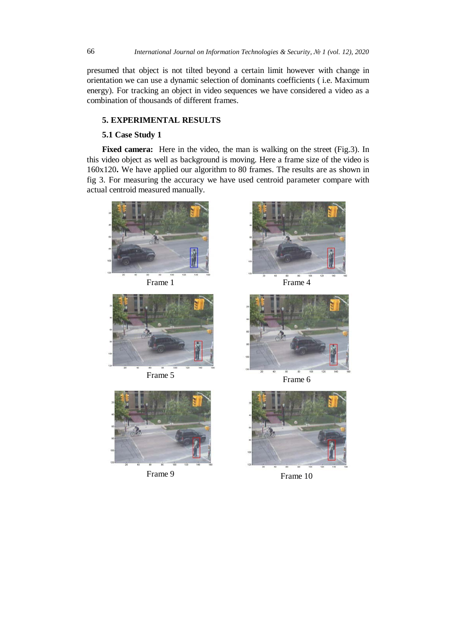presumed that object is not tilted beyond a certain limit however with change in orientation we can use a dynamic selection of dominants coefficients ( i.e. Maximum energy). For tracking an object in video sequences we have considered a video as a combination of thousands of different frames.

## **5. EXPERIMENTAL RESULTS**

## **5.1 Case Study 1**

Fixed camera: Here in the video, the man is walking on the street (Fig.3). In this video object as well as background is moving. Here a frame size of the video is 160x120**.** We have applied our algorithm to 80 frames. The results are as shown in fig 3. For measuring the accuracy we have used centroid parameter compare with actual centroid measured manually.











Frame 9 Frame 10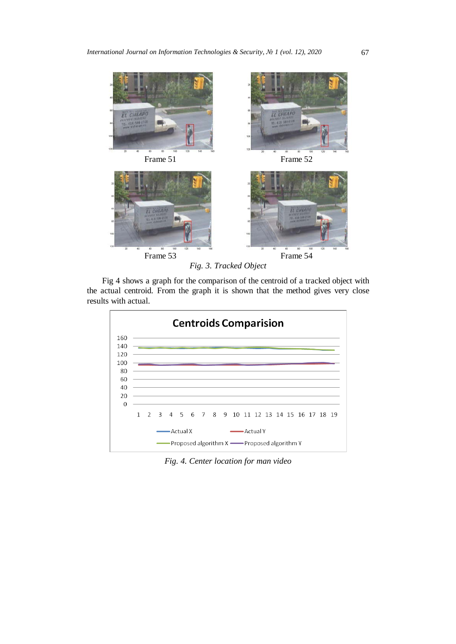

*Fig. 3. Tracked Object*

Fig 4 shows a graph for the comparison of the centroid of a tracked object with the actual centroid. From the graph it is shown that the method gives very close results with actual.



*Fig. 4. Center location for man video*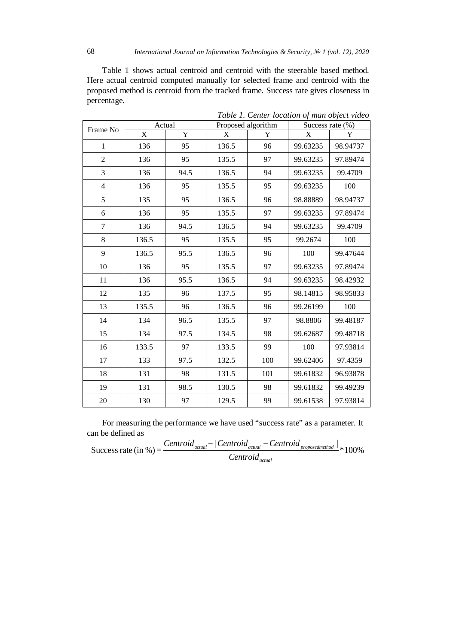Table 1 shows actual centroid and centroid with the steerable based method. Here actual centroid computed manually for selected frame and centroid with the proposed method is centroid from the tracked frame. Success rate gives closeness in percentage.

| Frame No       | Actual |      | Proposed algorithm |     | Success rate $(\% )$ |          |
|----------------|--------|------|--------------------|-----|----------------------|----------|
|                | X      | Y    | X                  | Y   | X                    | Y        |
| $\mathbf{1}$   | 136    | 95   | 136.5              | 96  | 99.63235             | 98.94737 |
| $\overline{2}$ | 136    | 95   | 135.5              | 97  | 99.63235             | 97.89474 |
| 3              | 136    | 94.5 | 136.5              | 94  | 99.63235             | 99.4709  |
| $\overline{4}$ | 136    | 95   | 135.5              | 95  | 99.63235             | 100      |
| 5              | 135    | 95   | 136.5              | 96  | 98.88889             | 98.94737 |
| 6              | 136    | 95   | 135.5              | 97  | 99.63235             | 97.89474 |
| $\tau$         | 136    | 94.5 | 136.5              | 94  | 99.63235             | 99.4709  |
| 8              | 136.5  | 95   | 135.5              | 95  | 99.2674              | 100      |
| 9              | 136.5  | 95.5 | 136.5              | 96  | 100                  | 99.47644 |
| 10             | 136    | 95   | 135.5              | 97  | 99.63235             | 97.89474 |
| 11             | 136    | 95.5 | 136.5              | 94  | 99.63235             | 98.42932 |
| 12             | 135    | 96   | 137.5              | 95  | 98.14815             | 98.95833 |
| 13             | 135.5  | 96   | 136.5              | 96  | 99.26199             | 100      |
| 14             | 134    | 96.5 | 135.5              | 97  | 98.8806              | 99.48187 |
| 15             | 134    | 97.5 | 134.5              | 98  | 99.62687             | 99.48718 |
| 16             | 133.5  | 97   | 133.5              | 99  | 100                  | 97.93814 |
| 17             | 133    | 97.5 | 132.5              | 100 | 99.62406             | 97.4359  |
| 18             | 131    | 98   | 131.5              | 101 | 99.61832             | 96.93878 |
| 19             | 131    | 98.5 | 130.5              | 98  | 99.61832             | 99.49239 |
| 20             | 130    | 97   | 129.5              | 99  | 99.61538             | 97.93814 |

*Table 1. Center location of man object video*

For measuring the performance we have used "success rate" as a parameter. It can be defined as

Success rate (in %) =  $\frac{Centroid_{actual} - | Centroid_{actual} - Centroid_{proposed method}|}{\epsilon_{intial} + 100\%}$ *actual actual actual proposedmethod Centroid Centroid* − *Centroid* − *Centroid*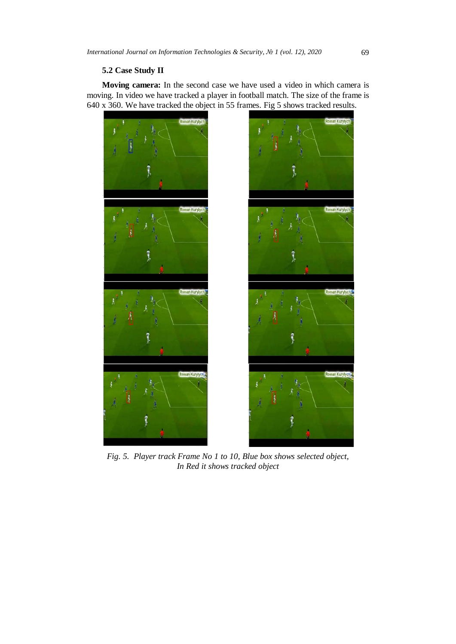## **5.2 Case Study II**

**Moving camera:** In the second case we have used a video in which camera is moving. In video we have tracked a player in football match. The size of the frame is 640 x 360. We have tracked the object in 55 frames. Fig 5 shows tracked results.



*Fig. 5. Player track Frame No 1 to 10, Blue box shows selected object, In Red it shows tracked object*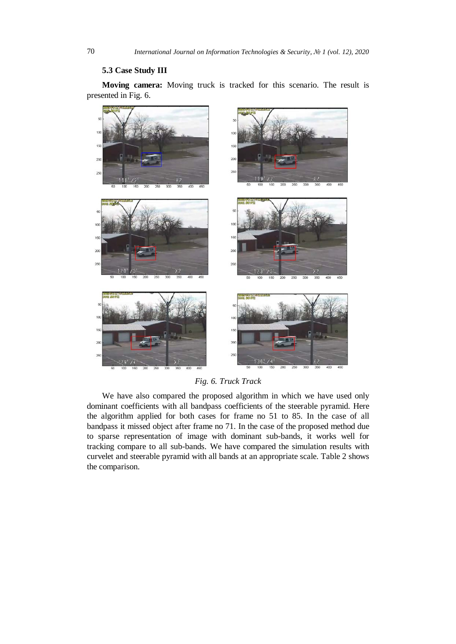## **5.3 Case Study III**

**Moving camera:** Moving truck is tracked for this scenario. The result is presented in Fig. 6.



*Fig. 6. Truck Track*

We have also compared the proposed algorithm in which we have used only dominant coefficients with all bandpass coefficients of the steerable pyramid. Here the algorithm applied for both cases for frame no 51 to 85. In the case of all bandpass it missed object after frame no 71. In the case of the proposed method due to sparse representation of image with dominant sub-bands, it works well for tracking compare to all sub-bands. We have compared the simulation results with curvelet and steerable pyramid with all bands at an appropriate scale. Table 2 shows the comparison.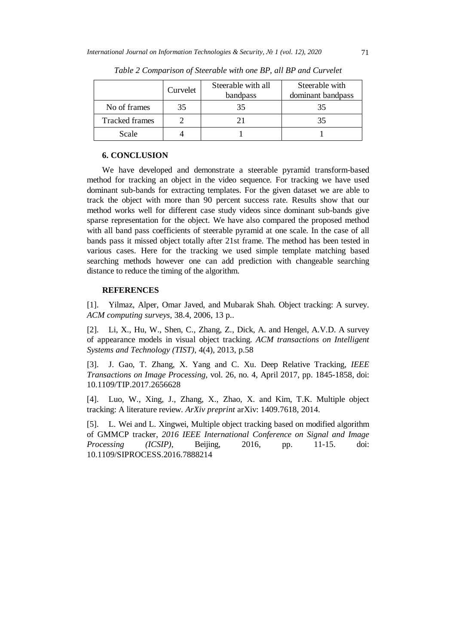|                | Curvelet | Steerable with all<br>bandpass | Steerable with<br>dominant bandpass |
|----------------|----------|--------------------------------|-------------------------------------|
| No of frames   | 35       |                                |                                     |
| Tracked frames |          |                                |                                     |
| Scale          |          |                                |                                     |

*Table 2 Comparison of Steerable with one BP, all BP and Curvelet*

# **6. CONCLUSION**

We have developed and demonstrate a steerable pyramid transform-based method for tracking an object in the video sequence. For tracking we have used dominant sub-bands for extracting templates. For the given dataset we are able to track the object with more than 90 percent success rate. Results show that our method works well for different case study videos since dominant sub-bands give sparse representation for the object. We have also compared the proposed method with all band pass coefficients of steerable pyramid at one scale. In the case of all bands pass it missed object totally after 21st frame. The method has been tested in various cases. Here for the tracking we used simple template matching based searching methods however one can add prediction with changeable searching distance to reduce the timing of the algorithm.

## **REFERENCES**

[1]. Yilmaz, Alper, Omar Javed, and Mubarak Shah. Object tracking: A survey. *ACM computing surveys*, 38.4, 2006, 13 p..

[2]. Li, X., Hu, W., Shen, C., Zhang, Z., Dick, A. and Hengel, A.V.D. A survey of appearance models in visual object tracking. *ACM transactions on Intelligent Systems and Technology (TIST)*, 4(4), 2013, p.58

[3]. J. Gao, T. Zhang, X. Yang and C. Xu. Deep Relative Tracking, *IEEE Transactions on Image Processing*, vol. 26, no. 4, April 2017, pp. 1845-1858, doi: 10.1109/TIP.2017.2656628

[4]. Luo, W., Xing, J., Zhang, X., Zhao, X. and Kim, T.K. Multiple object tracking: A literature review. *ArXiv preprint* arXiv: 1409.7618, 2014.

[5]. L. Wei and L. Xingwei, Multiple object tracking based on modified algorithm of GMMCP tracker, *2016 IEEE International Conference on Signal and Image Processing (ICSIP)*, Beijing, 2016, pp. 11-15. doi: 10.1109/SIPROCESS.2016.7888214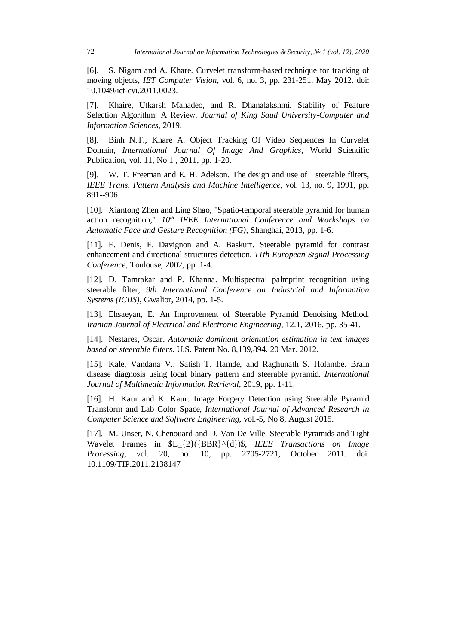[6]. S. Nigam and A. Khare. Curvelet transform-based technique for tracking of moving objects, *IET Computer Vision*, vol. 6, no. 3, pp. 231-251, May 2012. doi: 10.1049/iet-cvi.2011.0023.

[7]. Khaire, Utkarsh Mahadeo, and R. Dhanalakshmi. Stability of Feature Selection Algorithm: A Review. *Journal of King Saud University-Computer and Information Sciences*, 2019.

[8]. Binh N.T., Khare A. Object Tracking Of Video Sequences In Curvelet Domain, *International Journal Of Image And Graphics*, World Scientific Publication, vol. 11, No 1 , 2011, pp. 1-20.

[9]. W. T. Freeman and E. H. Adelson. The design and use of steerable filters, *IEEE Trans. Pattern Analysis and Machine Intelligence*, vol. 13, no. 9, 1991, pp. 891--906.

[10]. Xiantong Zhen and Ling Shao, "Spatio-temporal steerable pyramid for human action recognition,"  $10^{th}$  *IEEE International Conference and Workshops on Automatic Face and Gesture Recognition (FG)*, Shanghai, 2013, pp. 1-6.

[11]. F. Denis, F. Davignon and A. Baskurt. Steerable pyramid for contrast enhancement and directional structures detection, *11th European Signal Processing Conference*, Toulouse, 2002, pp. 1-4.

[12]. D. Tamrakar and P. Khanna. Multispectral palmprint recognition using steerable filter, *9th International Conference on Industrial and Information Systems (ICIIS)*, Gwalior, 2014, pp. 1-5.

[13]. Ehsaeyan, E. An Improvement of Steerable Pyramid Denoising Method. *Iranian Journal of Electrical and Electronic Engineering*, 12.1, 2016, pp. 35-41.

[14]. Nestares, Oscar. *Automatic dominant orientation estimation in text images based on steerable filters*. U.S. Patent No. 8,139,894. 20 Mar. 2012.

[15]. Kale, Vandana V., Satish T. Hamde, and Raghunath S. Holambe. Brain disease diagnosis using local binary pattern and steerable pyramid. *International Journal of Multimedia Information Retrieval*, 2019, pp. 1-11.

[16]. H. Kaur and K. Kaur. Image Forgery Detection using Steerable Pyramid Transform and Lab Color Space, *International Journal of Advanced Research in Computer Science and Software Engineering*, vol.-5, No 8, August 2015.

[17]. M. Unser, N. Chenouard and D. Van De Ville. Steerable Pyramids and Tight Wavelet Frames in \$L\_{2}({BBR}^{d})\$, *IEEE Transactions on Image Processing*, vol. 20, no. 10, pp. 2705-2721, October 2011. doi: 10.1109/TIP.2011.2138147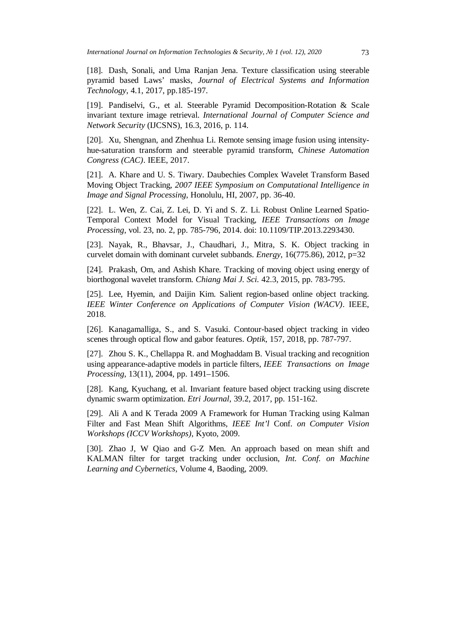[18]. Dash, Sonali, and Uma Ranjan Jena. Texture classification using steerable pyramid based Laws' masks, *Journal of Electrical Systems and Information Technology*, 4.1, 2017, pp.185-197.

[19]. Pandiselvi, G., et al. Steerable Pyramid Decomposition-Rotation & Scale invariant texture image retrieval. *International Journal of Computer Science and Network Security* (IJCSNS), 16.3, 2016, p. 114.

[20]. Xu, Shengnan, and Zhenhua Li. Remote sensing image fusion using intensityhue-saturation transform and steerable pyramid transform, *Chinese Automation Congress (CAC)*. IEEE, 2017.

[21]. A. Khare and U. S. Tiwary. Daubechies Complex Wavelet Transform Based Moving Object Tracking, *2007 IEEE Symposium on Computational Intelligence in Image and Signal Processing*, Honolulu, HI, 2007, pp. 36-40.

[22]. L. Wen, Z. Cai, Z. Lei, D. Yi and S. Z. Li. Robust Online Learned Spatio-Temporal Context Model for Visual Tracking, *IEEE Transactions on Image Processing*, vol. 23, no. 2, pp. 785-796, 2014. doi: 10.1109/TIP.2013.2293430.

[23]. Nayak, R., Bhavsar, J., Chaudhari, J., Mitra, S. K. Object tracking in curvelet domain with dominant curvelet subbands. *Energy*, 16(775.86), 2012, p=32

[24]. Prakash, Om, and Ashish Khare. Tracking of moving object using energy of biorthogonal wavelet transform. *Chiang Mai J. Sci.* 42.3, 2015, pp. 783-795.

[25]. Lee, Hyemin, and Daijin Kim. Salient region-based online object tracking. *IEEE Winter Conference on Applications of Computer Vision (WACV)*. IEEE, 2018.

[26]. Kanagamalliga, S., and S. Vasuki. Contour-based object tracking in video scenes through optical flow and gabor features. *Optik*, 157, 2018, pp. 787-797.

[27]. Zhou S. K., Chellappa R. and Moghaddam B. Visual tracking and recognition using appearance-adaptive models in particle filters, *IEEE Transactions on Image Processing*, 13(11), 2004, pp. 1491–1506.

[28]. Kang, Kyuchang, et al. Invariant feature based object tracking using discrete dynamic swarm optimization. *Etri Journal*, 39.2, 2017, pp. 151-162.

[29]. Ali A and K Terada 2009 A Framework for Human Tracking using Kalman Filter and Fast Mean Shift Algorithms, *IEEE Int'l* Conf. *on Computer Vision Workshops (ICCV Workshops)*, Kyoto, 2009.

[30]. Zhao J, W Qiao and G-Z Men. An approach based on mean shift and KALMAN filter for target tracking under occlusion, *Int. Conf. on Machine Learning and Cybernetics,* Volume 4, Baoding, 2009.